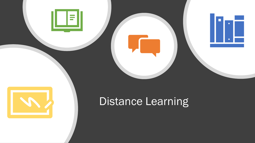



## Distance Learning

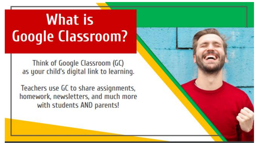# **What is Google Classroom?**

Think of Google Classroom (GC) as your child's digital link to learning.

Teachers use GC to share assignments, homework, newsletters, and much more with students AND parents!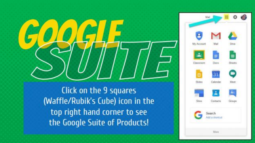Click on the 9 squares (Waffle/Rubik's Cube) icon in the top right hand corner to see the Google Suite of Products!

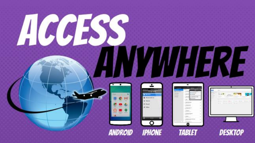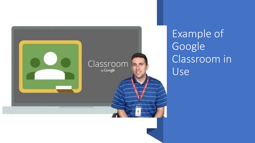

Example of Google Classroom in Use<sub>l</sub>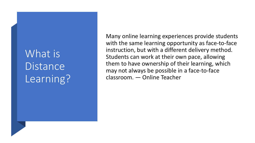## What is **Distance** Learning?

Many online learning experiences provide students with the same learning opportunity as face-to-face instruction, but with a different delivery method. Students can work at their own pace, allowing them to have ownership of their learning, which may not always be possible in a face-to-face classroom. — Online Teacher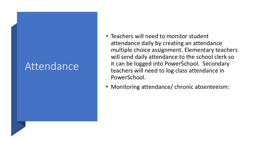### Attendance

- Teachers will need to monitor student attendance daily by creating an attendance multiple choice assignment. Elementary teachers will send daily attendance to the school clerk so it can be logged into PowerSchool. Secondary teachers will need to log class attendance in PowerSchool.
- Monitoring attendance/ chronic absenteeism: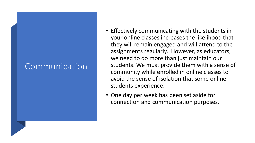#### **Communication**

- Effectively communicating with the students in your online classes increases the likelihood that they will remain engaged and will attend to the assignments regularly. However, as educators, we need to do more than just maintain our students. We must provide them with a sense of community while enrolled in online classes to avoid the sense of isolation that some online students experience.
- One day per week has been set aside for connection and communication purposes.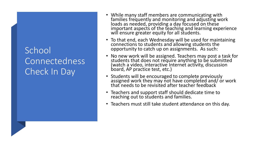#### School Connectedness Check In Day

- While many staff members are communicating with families frequently and monitoring and adjusting work loads as needed, providing a day focused on these important aspects of the teaching and learning experience will ensure greater equity for all students.
- To that end, each Wednesday will be used for maintaining connections to students and allowing students the opportunity to catch up on assignments. As such:
- No new work will be assigned. Teachers may post a task for students that does not require anything to be submitted (watch a video, interactive Internet activity, discussion board, AP practice test, etc.)
- Students will be encouraged to complete previously assigned work they may not have completed and/ or work that needs to be revisited after teacher feedback
- Teachers and support staff should dedicate time to reaching out to students and families.
- Teachers must still take student attendance on this day.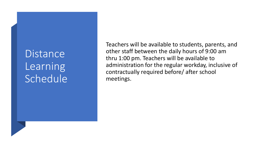**Distance** Learning Schedule

Teachers will be available to students, parents, and other staff between the daily hours of 9:00 am thru 1:00 pm. Teachers will be available to administration for the regular workday, inclusive of contractually required before/ after school meetings.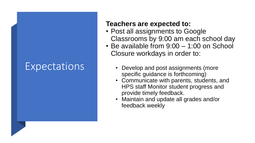### **Expectations**

#### **Teachers are expected to:**

- Post all assignments to Google Classrooms by 9:00 am each school day
- Be available from 9:00 1:00 on School Closure workdays in order to:
	- Develop and post assignments (more specific guidance is forthcoming)
	- Communicate with parents, students, and HPS staff Monitor student progress and provide timely feedback.
	- Maintain and update all grades and/or feedback weekly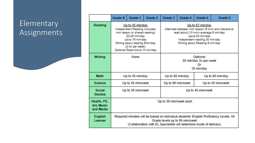#### **Elementary** Assignments

|                                        | Grade K                                                                                                                                                                                                         | Grade 1 | Grade 2 | Grade 3                                                                                                                                                                                                     | Grade 4           | Grade 5           | Grade 6 |  |
|----------------------------------------|-----------------------------------------------------------------------------------------------------------------------------------------------------------------------------------------------------------------|---------|---------|-------------------------------------------------------------------------------------------------------------------------------------------------------------------------------------------------------------|-------------------|-------------------|---------|--|
| Reading                                | Up to 45 min/day<br>Independent Reading (includes<br>mini lesson or shared reading)<br>20-25 min/day<br>Lexia 15 min/day<br>Writing about reading 5min/day<br>(2-3x per week)<br>Optional Read Aloud 10 min/day |         |         | Up to 62 min/day<br>Alternate between mini lesson (5 min) and interactive<br>read aloud (10 min)~average 6 min/day<br>Lexia 20 min/day<br>Independent reading 30 min/day<br>Writing about Reading 6 min/day |                   |                   |         |  |
| Writing                                | <b>None</b>                                                                                                                                                                                                     |         |         | Optional<br>30 min/day 3x per week<br>Or<br>18 min/day                                                                                                                                                      |                   |                   |         |  |
| <b>Math</b>                            | Up to 45 min/day                                                                                                                                                                                                |         |         | Up to 60 min/day                                                                                                                                                                                            |                   | Up to 60 min/day  |         |  |
| <b>Science</b>                         | Up to 45 min/week                                                                                                                                                                                               |         |         |                                                                                                                                                                                                             | Up to 90 min/week | Up to 45 min/week |         |  |
| <b>Social</b><br><b>Studies</b>        | Up to 30 min/week                                                                                                                                                                                               |         |         | Up to 45 min/week                                                                                                                                                                                           |                   |                   |         |  |
| Health, PE,<br>Art, Music<br>and Media | Up to 30 min/week each                                                                                                                                                                                          |         |         |                                                                                                                                                                                                             |                   |                   |         |  |
| <b>English</b><br>Learner              | Required minutes will be based on individual students' English Proficiency Levels. All<br>Grade levels up to 90 min/week<br>(Collaboration with EL Specialists will determine mode of delivery)                 |         |         |                                                                                                                                                                                                             |                   |                   |         |  |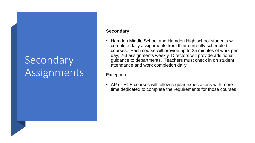## Secondary Assignments

#### **Secondary**

• Hamden Middle School and Hamden High school students will complete daily assignments from their currently scheduled courses. Each course will provide up to 25 minutes of work per day; 2-3 assignments weekly. Directors will provide additional guidance to departments. Teachers must check in on student attendance and work completion daily.

Exception:

• AP or ECE courses will follow regular expectations with more time dedicated to complete the requirements for those courses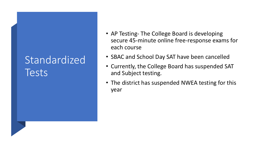## **Standardized** Tests

- AP Testing- The College Board is developing secure 45-minute online free-response exams for each course
- SBAC and School Day SAT have been cancelled
- Currently, the College Board has suspended SAT and Subject testing.
- The district has suspended NWEA testing for this year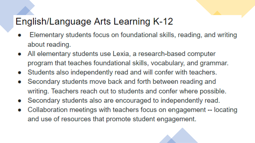### English/Language Arts Learning K-12

- Elementary students focus on foundational skills, reading, and writing about reading.
- All elementary students use Lexia, a research-based computer program that teaches foundational skills, vocabulary, and grammar.
- Students also independently read and will confer with teachers.
- Secondary students move back and forth between reading and writing. Teachers reach out to students and confer where possible.
- Secondary students also are encouraged to independently read. O
- Collaboration meetings with teachers focus on engagement -- locating O and use of resources that promote student engagement.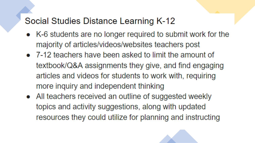#### Social Studies Distance Learning K-12

- K-6 students are no longer required to submit work for the majority of articles/videos/websites teachers post
- 7-12 teachers have been asked to limit the amount of textbook/Q&A assignments they give, and find engaging articles and videos for students to work with, requiring more inquiry and independent thinking
- All teachers received an outline of suggested weekly topics and activity suggestions, along with updated resources they could utilize for planning and instructing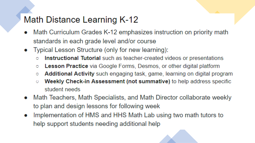#### Math Distance Learning K-12

- Math Curriculum Grades K-12 emphasizes instruction on priority math standards in each grade level and/or course
- Typical Lesson Structure (only for new learning):
	- Instructional Tutorial such as teacher-created videos or presentations  $\bigcirc$
	- Lesson Practice via Google Forms, Desmos, or other digital platform  $\bullet$
	- Additional Activity such engaging task, game, learning on digital program  $\bullet$
	- Weekly Check-in Assessment (not summative) to help address specific  $\circ$ student needs
- Math Teachers, Math Specialists, and Math Director collaborate weekly to plan and design lessons for following week
- Implementation of HMS and HHS Math Lab using two math tutors to  $\bullet$ help support students needing additional help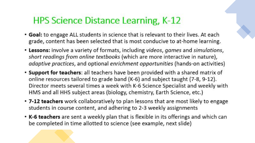## **HPS Science Distance Learning, K-12**

- Goal: to engage ALL students in science that is relevant to their lives. At each grade, content has been selected that is most conducive to at-home learning.
- Lessons: involve a variety of formats, including videos, games and simulations, short readings from online textbooks (which are more interactive in nature), adaptive practices, and optional enrichment opportunities (hands-on activities)
- Support for teachers: all teachers have been provided with a shared matrix of online resources tailored to grade band (K-6) and subject taught (7-8, 9-12). Director meets several times a week with K-6 Science Specialist and weekly with HMS and all HHS subject areas (biology, chemistry, Earth Science, etc.)
- 7-12 teachers work collaboratively to plan lessons that are most likely to engage students in course content, and adhering to 2-3 weekly assignments
- K-6 teachers are sent a weekly plan that is flexible in its offerings and which can be completed in time allotted to science (see example, next slide)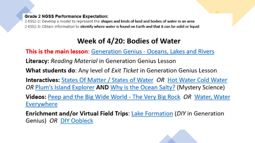#### **Grade 2 NGSS Performance Expectation:**

2-ESS2-2: Develop a model to represent the shapes and kinds of land and bodies of water in an area 2-ESS2-3: Obtain information to identify where water is found on Earth and that it can be solid or liquid

#### Week of 4/20: Bodies of Water

This is the main lesson: Generation Genius - Oceans, Lakes and Rivers

**Literacy:** Reading Material in Generation Genius Lesson

**What students do:** Any level of *Exit Ticket* in Generation Genius Lesson

**Interactives:** States Of Matter / States of Water OR Hot Water Cold Water OR Plum's Island Explorer AND Why is the Ocean Salty? (Mystery Science)

Videos: Peep and the Big Wide World - The Very Big Rock OR Water, Water Everywhere

Enrichment and/or Virtual Field Trips: Lake Formation (DIY in Generation Genius) OR DIY Oobleck

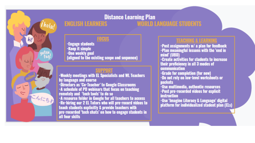

#### **Distance Learning Plan WORLD LANGUAGE STUDENTS ENGLISH LEARNERS**

#### **FOCUS**

-Engage students -Keep it simple -One weekly goal (aligned to the existing scope and sequence)

#### **SUPPORT**

-Weekly meetings with EL Specialists and WL Teachers by language and course -Directors as 'Co-Teacher' to Google Classrooms -A schedule of PD webinars that focus on teaching<br>remotely and 'tech tools' to do so -A resource folder in Google for all teachers to access -Re-hiring our 2 EL Tutors who will pre-record videos to teach students explicitly & provide teachers with pre-recorded 'tech chats' on how to engage students in

#### **TEACHING & LEARNING**

-Post assignments w/ a plan for feedback<br>-Plan meaningful lessons with the 'end in mind' (UBD) -Create activities for students to increase their proficiency in all 3 modes of **communication** -Grade for completion (for now) -Do not rely on low-level worksheets or packets -Use multimedia, authentic resources -Post pre-recorded videos for explicit instruction -Use 'Imagine Literacy & Language' digital<br>platform for individualized student plan (ELs)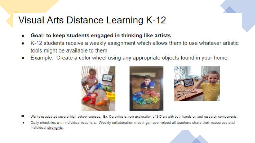### **Visual Arts Distance Learning K-12**

- Goal: to keep students engaged in thinking like artists
- K-12 students receive a weekly assignment which allows them to use whatever artistic tools might be available to them
- Example: Create a color wheel using any appropriate objects found in your home.



- We have adapted several high school courses. Ex. Ceramics is now exploration of 3-D art with both hands on and research components.
- Daily check-ins with individual teachers. Weekly collaboration meetings have helped all teachers share their resources and individual strenghts.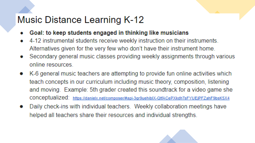## **Music Distance Learning K-12**

- Goal: to keep students engaged in thinking like musicians
- 4-12 instrumental students receive weekly instruction on their instruments. Alternatives given for the very few who don't have their instrument home.
- Secondary general music classes providing weekly assignments through various online resources
- K-6 general music teachers are attempting to provide fun online activities which teach concepts in our curriculum including music theory, composition, listening and moving. Example: 5th grader created this soundtrack for a video game she CONCeptualized: https://danielx.net/composer/#api-3gr9uehiblX-QtfACePXkdhTsFYUEjPFZahF9bsK5X4
- Daily check-ins with individual teachers. Weekly collaboration meetings have helped all teachers share their resources and individual strengths.

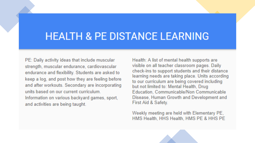## **HEALTH & PE DISTANCE LEARNING**

PE: Daily activity ideas that include muscular strength, muscular endurance, cardiovascular endurance and flexibility. Students are asked to keep a log, and post how they are feeling before and after workouts. Secondary are incorporating units based on our current curriculum Information on various backyard games, sport, and activities are being taught.

Health: A list of mental health supports are visible on all teacher classroom pages. Daily check-ins to support students and their distance learning needs are taking place. Units according to our curriculum are being covered including but not limited to: Mental Health, Drug Education, Communicable/Non Communicable Disease, Human Growth and Development and First Aid & Safety.

Weekly meeting are held with Elementary PE, HMS Health, HHS Health, HMS PE & HHS PE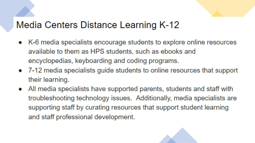#### Media Centers Distance Learning K-12

- K-6 media specialists encourage students to explore online resources available to them as HPS students, such as ebooks and encyclopedias, keyboarding and coding programs.
- 7-12 media specialists guide students to online resources that support their learning.
- All media specialists have supported parents, students and staff with  $\bullet$ troubleshooting technology issues. Additionally, media specialists are supporting staff by curating resources that support student learning and staff professional development.